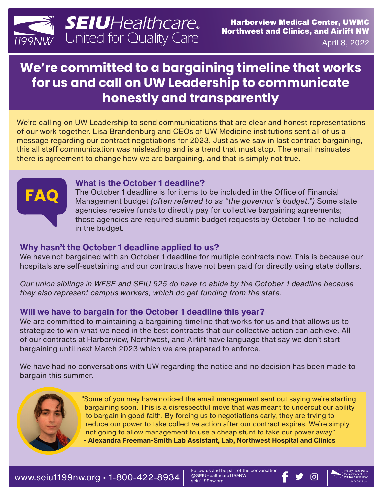

April 8, 2022

# **We're committed to a bargaining timeline that works for us and call on UW Leadership to communicate honestly and transparently**

We're calling on UW Leadership to send communications that are clear and honest representations of our work together. Lisa Brandenburg and CEOs of UW Medicine institutions sent all of us a message regarding our contract negotiations for 2023. Just as we saw in last contract bargaining, this all staff communication was misleading and is a trend that must stop. The email insinuates there is agreement to change how we are bargaining, and that is simply not true.



#### **What is the October 1 deadline?**

The October 1 deadline is for items to be included in the Office of Financial Management budget *(often referred to as "the governor's budget.")* Some state agencies receive funds to directly pay for collective bargaining agreements; those agencies are required submit budget requests by October 1 to be included in the budget.

#### **Why hasn't the October 1 deadline applied to us?**

We have not bargained with an October 1 deadline for multiple contracts now. This is because our hospitals are self-sustaining and our contracts have not been paid for directly using state dollars.

*Our union siblings in WFSE and SEIU 925 do have to abide by the October 1 deadline because they also represent campus workers, which do get funding from the state.*

### **Will we have to bargain for the October 1 deadline this year?**

We are committed to maintaining a bargaining timeline that works for us and that allows us to strategize to win what we need in the best contracts that our collective action can achieve. All of our contracts at Harborview, Northwest, and Airlift have language that say we don't start bargaining until next March 2023 which we are prepared to enforce.

We have had no conversations with UW regarding the notice and no decision has been made to bargain this summer.



"Some of you may have noticed the email management sent out saying we're starting bargaining soon. This is a disrespectful move that was meant to undercut our ability to bargain in good faith. By forcing us to negotiations early, they are trying to reduce our power to take collective action after our contract expires. We're simply not going to allow management to use a cheap stunt to take our power away." **- Alexandra Freeman-Smith Lab Assistant, Lab, Northwest Hospital and Clinics**

Follow us and be part of the conversation @SEIUHealthcare1199NW @SEIUHealthcare1199NW<br>seiu1199nw.org bb 04082 uww.html